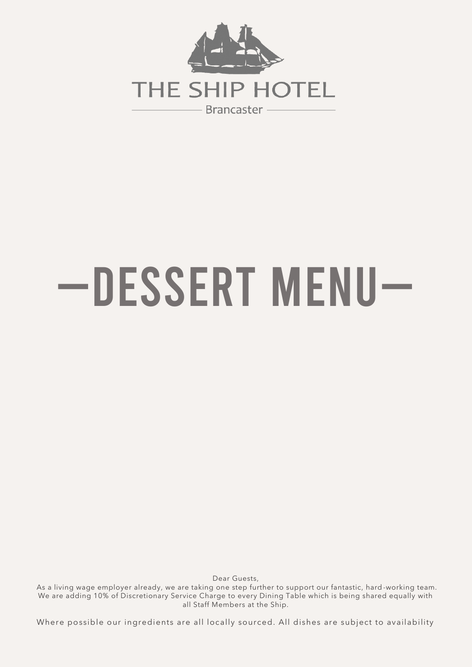

## —Dessert Menu—

Dear Guests,

 As a living wage employer already, we are taking one step further to support our fantastic, hard -working team. We are adding 10% of Discretionary Service Charge to every Dining Table which is being shared equally with all Staff Members at the Ship.

Where possible our ingredients are all locally sourced. All dishes are subject to availability